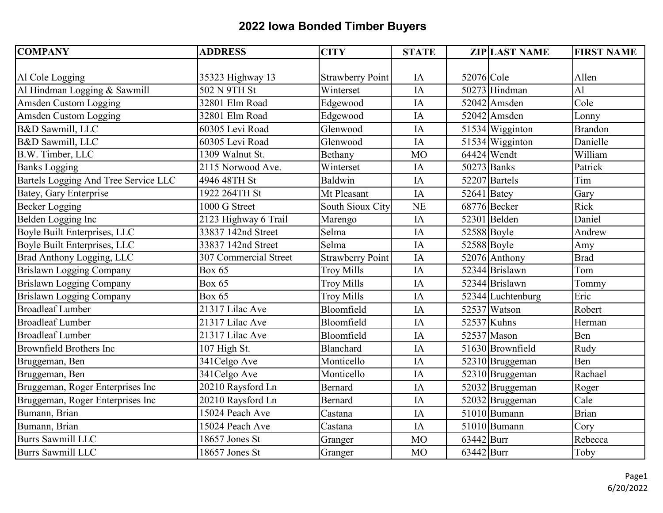| <b>COMPANY</b>                       | <b>ADDRESS</b>        | <b>CITY</b>             | <b>STATE</b>    |               | <b>ZIP LAST NAME</b> | <b>FIRST NAME</b> |
|--------------------------------------|-----------------------|-------------------------|-----------------|---------------|----------------------|-------------------|
|                                      |                       |                         |                 |               |                      |                   |
| Al Cole Logging                      | 35323 Highway 13      | <b>Strawberry Point</b> | IA              | 52076 Cole    |                      | Allen             |
| Al Hindman Logging & Sawmill         | 502 N 9TH St          | Winterset               | $\overline{IA}$ |               | 50273 Hindman        | $\overline{A}$    |
| Amsden Custom Logging                | 32801 Elm Road        | Edgewood                | IA              |               | 52042 Amsden         | Cole              |
| Amsden Custom Logging                | 32801 Elm Road        | Edgewood                | IA              |               | 52042 Amsden         | Lonny             |
| B&D Sawmill, LLC                     | 60305 Levi Road       | Glenwood                | IA              |               | $51534$ Wigginton    | <b>Brandon</b>    |
| B&D Sawmill, LLC                     | 60305 Levi Road       | Glenwood                | IA              |               | 51534 Wigginton      | Danielle          |
| B.W. Timber, LLC                     | 1309 Walnut St.       | Bethany                 | <b>MO</b>       |               | 64424 Wendt          | William           |
| <b>Banks Logging</b>                 | 2115 Norwood Ave.     | Winterset               | IA              |               | 50273 Banks          | Patrick           |
| Bartels Logging And Tree Service LLC | 4946 48TH St          | Baldwin                 | IA              |               | 52207 Bartels        | Tim               |
| <b>Batey, Gary Enterprise</b>        | 1922 264TH St         | Mt Pleasant             | IA              | $52641$ Batey |                      | Gary              |
| <b>Becker Logging</b>                | 1000 G Street         | South Sioux City        | <b>NE</b>       |               | 68776 Becker         | Rick              |
| Belden Logging Inc                   | 2123 Highway 6 Trail  | Marengo                 | IA              |               | 52301 Belden         | Daniel            |
| Boyle Built Enterprises, LLC         | 33837 142nd Street    | Selma                   | IA              | 52588 Boyle   |                      | Andrew            |
| Boyle Built Enterprises, LLC         | 33837 142nd Street    | Selma                   | IA              | 52588 Boyle   |                      | Amy               |
| Brad Anthony Logging, LLC            | 307 Commercial Street | <b>Strawberry Point</b> | IA              |               | 52076 Anthony        | <b>Brad</b>       |
| Brislawn Logging Company             | <b>Box 65</b>         | <b>Troy Mills</b>       | IA              |               | 52344 Brislawn       | Tom               |
| <b>Brislawn Logging Company</b>      | <b>Box 65</b>         | <b>Troy Mills</b>       | IA              |               | 52344 Brislawn       | Tommy             |
| <b>Brislawn Logging Company</b>      | <b>Box 65</b>         | <b>Troy Mills</b>       | IA              |               | 52344 Luchtenburg    | Eric              |
| <b>Broadleaf Lumber</b>              | 21317 Lilac Ave       | Bloomfield              | IA              |               | 52537 Watson         | Robert            |
| <b>Broadleaf Lumber</b>              | 21317 Lilac Ave       | Bloomfield              | IA              |               | $52537$ Kuhns        | Herman            |
| <b>Broadleaf Lumber</b>              | 21317 Lilac Ave       | Bloomfield              | IA              |               | $52537$ Mason        | Ben               |
| Brownfield Brothers Inc              | 107 High St.          | Blanchard               | IA              |               | 51630 Brownfield     | Rudy              |
| Bruggeman, Ben                       | 341Celgo Ave          | Monticello              | IA              |               | 52310 Bruggeman      | Ben               |
| Bruggeman, Ben                       | 341Celgo Ave          | Monticello              | IA              |               | 52310 Bruggeman      | Rachael           |
| Bruggeman, Roger Enterprises Inc     | 20210 Raysford Ln     | <b>Bernard</b>          | IA              |               | 52032 Bruggeman      | Roger             |
| Bruggeman, Roger Enterprises Inc     | 20210 Raysford Ln     | <b>Bernard</b>          | IA              |               | 52032 Bruggeman      | Cale              |
| Bumann, Brian                        | 15024 Peach Ave       | Castana                 | IA              |               | $51010$ Bumann       | <b>Brian</b>      |
| Bumann, Brian                        | 15024 Peach Ave       | Castana                 | IA              |               | 51010 Bumann         | Cory              |
| <b>Burrs Sawmill LLC</b>             | 18657 Jones St        | Granger                 | <b>MO</b>       | 63442 Burr    |                      | Rebecca           |
| <b>Burrs Sawmill LLC</b>             | 18657 Jones St        | Granger                 | <b>MO</b>       | 63442 Burr    |                      | Toby              |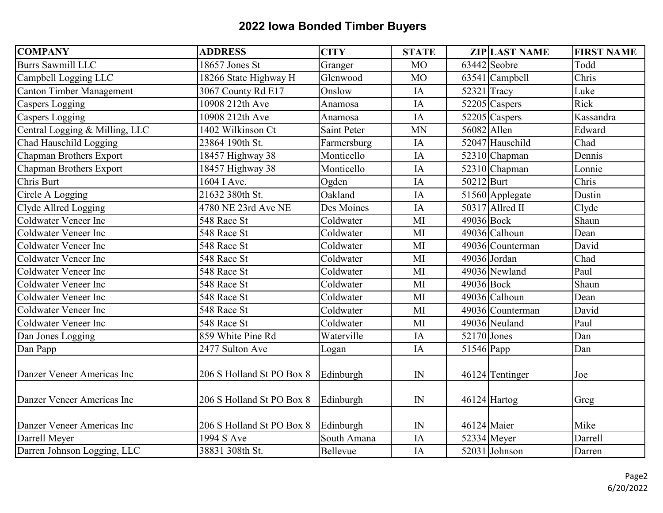| <b>COMPANY</b>                  | <b>ADDRESS</b>            | <b>CITY</b>        | <b>STATE</b> |               | <b>ZIP LAST NAME</b> | <b>FIRST NAME</b> |
|---------------------------------|---------------------------|--------------------|--------------|---------------|----------------------|-------------------|
| <b>Burrs Sawmill LLC</b>        | 18657 Jones St            | Granger            | <b>MO</b>    |               | $63442$ Seobre       | Todd              |
| Campbell Logging LLC            | 18266 State Highway H     | Glenwood           | <b>MO</b>    |               | $63541$ Campbell     | Chris             |
| <b>Canton Timber Management</b> | 3067 County Rd E17        | Onslow             | IA           |               | $52321$ Tracy        | Luke              |
| <b>Caspers Logging</b>          | 10908 212th Ave           | Anamosa            | IA           |               | 52205 Caspers        | Rick              |
| Caspers Logging                 | 10908 212th Ave           | Anamosa            | IA           |               | 52205 Caspers        | Kassandra         |
| Central Logging & Milling, LLC  | 1402 Wilkinson Ct         | <b>Saint Peter</b> | <b>MN</b>    | 56082 Allen   |                      | Edward            |
| Chad Hauschild Logging          | 23864 190th St.           | Farmersburg        | IA           |               | 52047 Hauschild      | Chad              |
| Chapman Brothers Export         | 18457 Highway 38          | Monticello         | IA           |               | 52310 Chapman        | Dennis            |
| Chapman Brothers Export         | 18457 Highway 38          | Monticello         | IA           |               | 52310 Chapman        | Lonnie            |
| Chris Burt                      | 1604 I Ave.               | Ogden              | IA           | 50212 Burt    |                      | Chris             |
| Circle A Logging                | 21632 380th St.           | Oakland            | IA           |               | 51560 Applegate      | Dustin            |
| Clyde Allred Logging            | 4780 NE 23rd Ave NE       | Des Moines         | IA           |               | 50317 Allred II      | Clyde             |
| Coldwater Veneer Inc            | 548 Race St               | Coldwater          | MI           | 49036 Bock    |                      | Shaun             |
| Coldwater Veneer Inc            | 548 Race St               | Coldwater          | MI           |               | 49036 Calhoun        | Dean              |
| <b>Coldwater Veneer Inc</b>     | 548 Race St               | Coldwater          | MI           |               | 49036 Counterman     | David             |
| <b>Coldwater Veneer Inc</b>     | 548 Race St               | Coldwater          | MI           |               | 49036 Jordan         | Chad              |
| <b>Coldwater Veneer Inc</b>     | 548 Race St               | Coldwater          | MI           |               | 49036 Newland        | Paul              |
| Coldwater Veneer Inc            | 548 Race St               | Coldwater          | MI           | 49036 Bock    |                      | Shaun             |
| <b>Coldwater Veneer Inc</b>     | 548 Race St               | Coldwater          | MI           |               | 49036 Calhoun        | Dean              |
| <b>Coldwater Veneer Inc</b>     | 548 Race St               | Coldwater          | MI           |               | 49036 Counterman     | David             |
| <b>Coldwater Veneer Inc</b>     | 548 Race St               | Coldwater          | MI           |               | 49036 Neuland        | Paul              |
| Dan Jones Logging               | 859 White Pine Rd         | Waterville         | IA           | $52170$ Jones |                      | Dan               |
| Dan Papp                        | 2477 Sulton Ave           | Logan              | IA           | 51546 Papp    |                      | Dan               |
| Danzer Veneer Americas Inc      | 206 S Holland St PO Box 8 | Edinburgh          | $\mathbb{N}$ |               | 46124 Tentinger      | Joe               |
|                                 |                           |                    |              |               |                      |                   |
| Danzer Veneer Americas Inc      | 206 S Holland St PO Box 8 | Edinburgh          | IN           |               | 46124 Hartog         | Greg              |
| Danzer Veneer Americas Inc      | 206 S Holland St PO Box 8 | Edinburgh          | IN           |               | 46124 Maier          | Mike              |
| Darrell Meyer                   | 1994 S Ave                | South Amana        | IA           |               | $52334$ Meyer        | Darrell           |
| Darren Johnson Logging, LLC     | 38831 308th St.           | Bellevue           | IA           |               | 52031 Johnson        | Darren            |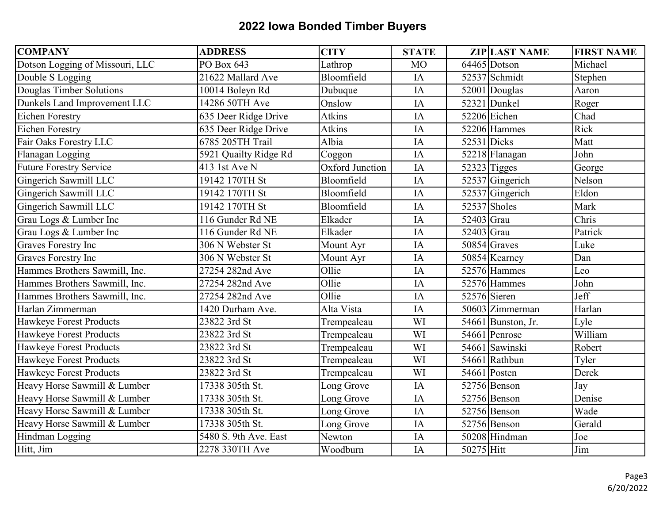| <b>COMPANY</b>                  | <b>ADDRESS</b>        | <b>CITY</b>     | <b>STATE</b> |            | <b>ZIP LAST NAME</b> | <b>FIRST NAME</b> |
|---------------------------------|-----------------------|-----------------|--------------|------------|----------------------|-------------------|
| Dotson Logging of Missouri, LLC | PO Box 643            | Lathrop         | <b>MO</b>    |            | 64465 Dotson         | Michael           |
| Double S Logging                | 21622 Mallard Ave     | Bloomfield      | IA           |            | 52537 Schmidt        | Stephen           |
| Douglas Timber Solutions        | 10014 Boleyn Rd       | Dubuque         | IA           |            | 52001 Douglas        | Aaron             |
| Dunkels Land Improvement LLC    | 14286 50TH Ave        | Onslow          | IA           |            | 52321 Dunkel         | Roger             |
| <b>Eichen Forestry</b>          | 635 Deer Ridge Drive  | Atkins          | IA           |            | 52206 Eichen         | Chad              |
| <b>Eichen Forestry</b>          | 635 Deer Ridge Drive  | Atkins          | IA           |            | 52206 Hammes         | Rick              |
| Fair Oaks Forestry LLC          | 6785 205TH Trail      | Albia           | IA           |            | 52531 Dicks          | Matt              |
| Flanagan Logging                | 5921 Quailty Ridge Rd | Coggon          | IA           |            | 52218 Flanagan       | John              |
| <b>Future Forestry Service</b>  | 413 1st Ave N         | Oxford Junction | IA           |            | 52323 Tigges         | George            |
| Gingerich Sawmill LLC           | 19142 170TH St        | Bloomfield      | IA           |            | 52537 Gingerich      | Nelson            |
| Gingerich Sawmill LLC           | 19142 170TH St        | Bloomfield      | IA           |            | 52537 Gingerich      | Eldon             |
| Gingerich Sawmill LLC           | 19142 170TH St        | Bloomfield      | IA           |            | 52537 Sholes         | Mark              |
| Grau Logs & Lumber Inc          | 116 Gunder Rd NE      | Elkader         | IA           | 52403 Grau |                      | Chris             |
| Grau Logs & Lumber Inc          | 116 Gunder Rd NE      | Elkader         | IA           | 52403 Grau |                      | Patrick           |
| <b>Graves Forestry Inc</b>      | 306 N Webster St      | Mount Ayr       | IA           |            | $50854$ Graves       | Luke              |
| <b>Graves Forestry Inc</b>      | 306 N Webster St      | Mount Ayr       | IA           |            | 50854 Kearney        | Dan               |
| Hammes Brothers Sawmill, Inc.   | 27254 282nd Ave       | Ollie           | IA           |            | 52576 Hammes         | Leo               |
| Hammes Brothers Sawmill, Inc.   | 27254 282nd Ave       | Ollie           | IA           |            | 52576 Hammes         | John              |
| Hammes Brothers Sawmill, Inc.   | 27254 282nd Ave       | Ollie           | IA           |            | 52576 Sieren         | Jeff              |
| Harlan Zimmerman                | 1420 Durham Ave.      | Alta Vista      | IA           |            | 50603 Zimmerman      | Harlan            |
| Hawkeye Forest Products         | 23822 3rd St          | Trempealeau     | WI           |            | 54661 Bunston, Jr.   | Lyle              |
| Hawkeye Forest Products         | 23822 3rd St          | Trempealeau     | WI           |            | 54661 Penrose        | William           |
| Hawkeye Forest Products         | 23822 3rd St          | Trempealeau     | WI           |            | 54661 Sawinski       | Robert            |
| Hawkeye Forest Products         | 23822 3rd St          | Trempealeau     | WI           |            | 54661 Rathbun        | Tyler             |
| Hawkeye Forest Products         | 23822 3rd St          | Trempealeau     | WI           |            | 54661 Posten         | Derek             |
| Heavy Horse Sawmill & Lumber    | 17338 305th St.       | Long Grove      | IA           |            | 52756 Benson         | Jay               |
| Heavy Horse Sawmill & Lumber    | 17338 305th St.       | Long Grove      | IA           |            | 52756 Benson         | Denise            |
| Heavy Horse Sawmill & Lumber    | 17338 305th St.       | Long Grove      | IA           |            | 52756 Benson         | Wade              |
| Heavy Horse Sawmill & Lumber    | 17338 305th St.       | Long Grove      | IA           |            | 52756 Benson         | Gerald            |
| Hindman Logging                 | 5480 S. 9th Ave. East | Newton          | IA           |            | 50208 Hindman        | Joe               |
| Hitt, Jim                       | 2278 330TH Ave        | Woodburn        | IA           | 50275 Hitt |                      | Jim               |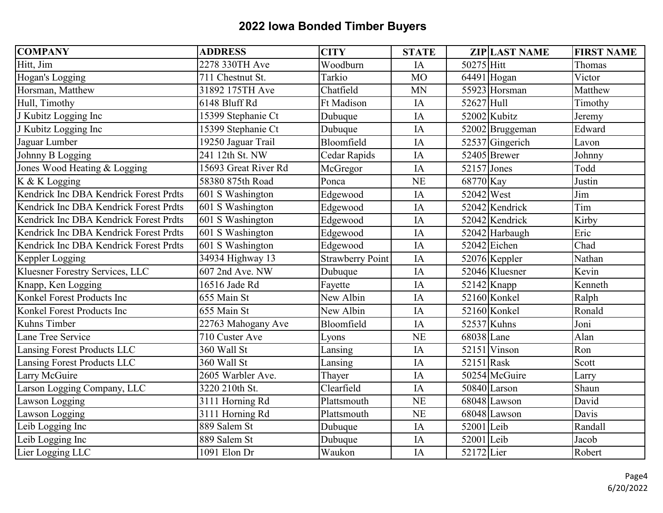| <b>COMPANY</b>                         | <b>ADDRESS</b>       | <b>CITY</b>             | <b>STATE</b> |            | <b>ZIP LAST NAME</b>     | <b>FIRST NAME</b> |
|----------------------------------------|----------------------|-------------------------|--------------|------------|--------------------------|-------------------|
| Hitt, Jim                              | 2278 330TH Ave       | Woodburn                | IA           | 50275 Hitt |                          | Thomas            |
| Hogan's Logging                        | 711 Chestnut St.     | Tarkio                  | <b>MO</b>    |            | $\overline{6449}1$ Hogan | Victor            |
| Horsman, Matthew                       | 31892 175TH Ave      | Chatfield               | <b>MN</b>    |            | 55923 Horsman            | Matthew           |
| Hull, Timothy                          | 6148 Bluff Rd        | Ft Madison              | IA           | 52627 Hull |                          | Timothy           |
| J Kubitz Logging Inc                   | 15399 Stephanie Ct   | Dubuque                 | IA           |            | 52002 Kubitz             | Jeremy            |
| J Kubitz Logging Inc                   | 15399 Stephanie Ct   | Dubuque                 | IA           |            | 52002 Bruggeman          | Edward            |
| Jaguar Lumber                          | 19250 Jaguar Trail   | Bloomfield              | IA           |            | 52537 Gingerich          | Lavon             |
| Johnny B Logging                       | 241 12th St. NW      | Cedar Rapids            | IA           |            | 52405 Brewer             | Johnny            |
| Jones Wood Heating & Logging           | 15693 Great River Rd | McGregor                | IA           |            | 52157 Jones              | Todd              |
| K & K Logging                          | 58380 875th Road     | Ponca                   | <b>NE</b>    | 68770 Kay  |                          | Justin            |
| Kendrick Inc DBA Kendrick Forest Prdts | 601 S Washington     | Edgewood                | IA           | 52042 West |                          | Jim               |
| Kendrick Inc DBA Kendrick Forest Prdts | 601 S Washington     | Edgewood                | IA           |            | 52042 Kendrick           | Tim               |
| Kendrick Inc DBA Kendrick Forest Prdts | $601 S$ Washington   | Edgewood                | IA           |            | 52042 Kendrick           | Kirby             |
| Kendrick Inc DBA Kendrick Forest Prdts | 601 S Washington     | Edgewood                | IA           |            | 52042 Harbaugh           | Eric              |
| Kendrick Inc DBA Kendrick Forest Prdts | 601 S Washington     | Edgewood                | IA           |            | $52042$ Eichen           | Chad              |
| Keppler Logging                        | 34934 Highway 13     | <b>Strawberry Point</b> | IA           |            | 52076 Keppler            | Nathan            |
| Kluesner Forestry Services, LLC        | 607 2nd Ave. NW      | Dubuque                 | IA           |            | 52046 Kluesner           | Kevin             |
| Knapp, Ken Logging                     | 16516 Jade Rd        | Fayette                 | IA           |            | $52142$ Knapp            | Kenneth           |
| Konkel Forest Products Inc             | 655 Main St          | New Albin               | IA           |            | 52160 Konkel             | Ralph             |
| Konkel Forest Products Inc             | 655 Main St          | New Albin               | IA           |            | 52160 Konkel             | Ronald            |
| Kuhns Timber                           | 22763 Mahogany Ave   | Bloomfield              | IA           |            | 52537 Kuhns              | Joni              |
| Lane Tree Service                      | 710 Custer Ave       | Lyons                   | <b>NE</b>    | 68038 Lane |                          | Alan              |
| Lansing Forest Products LLC            | 360 Wall St          | Lansing                 | IA           |            | $52151$ Vinson           | Ron               |
| Lansing Forest Products LLC            | 360 Wall St          | Lansing                 | IA           | 52151 Rask |                          | Scott             |
| Larry McGuire                          | 2605 Warbler Ave.    | Thayer                  | IA           |            | 50254 McGuire            | Larry             |
| Larson Logging Company, LLC            | 3220 210th St.       | Clearfield              | IA           |            | 50840 Larson             | Shaun             |
| Lawson Logging                         | 3111 Horning Rd      | Plattsmouth             | <b>NE</b>    |            | 68048 Lawson             | David             |
| Lawson Logging                         | 3111 Horning Rd      | Plattsmouth             | <b>NE</b>    |            | 68048 Lawson             | Davis             |
| Leib Logging Inc                       | 889 Salem St         | Dubuque                 | IA           | 52001 Leib |                          | Randall           |
| Leib Logging Inc                       | 889 Salem St         | Dubuque                 | IA           | 52001 Leib |                          | Jacob             |
| Lier Logging LLC                       | 1091 Elon Dr         | Waukon                  | IA           | 52172 Lier |                          | Robert            |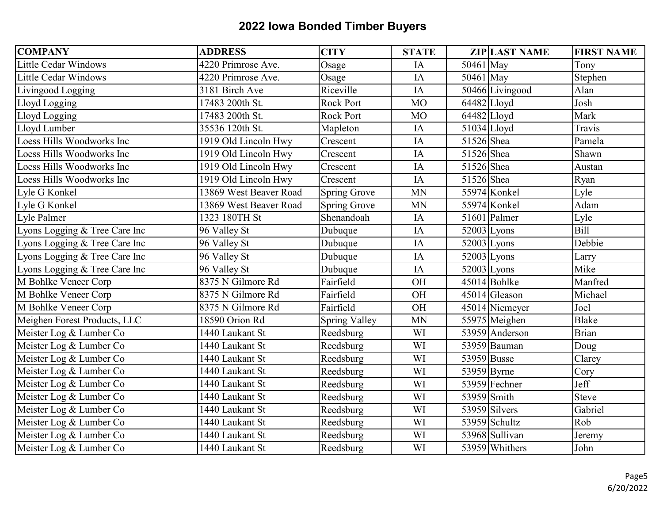| <b>COMPANY</b>                | <b>ADDRESS</b>         | <b>CITY</b>         | <b>STATE</b> |               | <b>ZIP LAST NAME</b> | <b>FIRST NAME</b> |
|-------------------------------|------------------------|---------------------|--------------|---------------|----------------------|-------------------|
| <b>Little Cedar Windows</b>   | 4220 Primrose Ave.     | Osage               | IA           | 50461 May     |                      | Tony              |
| <b>Little Cedar Windows</b>   | 4220 Primrose Ave.     | Osage               | IA           | 50461 May     |                      | Stephen           |
| Livingood Logging             | 3181 Birch Ave         | Riceville           | IA           |               | 50466 Livingood      | Alan              |
| Lloyd Logging                 | 17483 200th St.        | Rock Port           | <b>MO</b>    | $64482$ Lloyd |                      | Josh              |
| Lloyd Logging                 | 17483 200th St.        | <b>Rock Port</b>    | <b>MO</b>    | 64482 Lloyd   |                      | Mark              |
| Lloyd Lumber                  | 35536 120th St.        | Mapleton            | IA           | 51034 Lloyd   |                      | Travis            |
| Loess Hills Woodworks Inc     | 1919 Old Lincoln Hwy   | Crescent            | IA           | 51526 Shea    |                      | Pamela            |
| Loess Hills Woodworks Inc     | 1919 Old Lincoln Hwy   | Crescent            | IA           | 51526 Shea    |                      | Shawn             |
| Loess Hills Woodworks Inc     | 1919 Old Lincoln Hwy   | Crescent            | IA           | 51526 Shea    |                      | Austan            |
| Loess Hills Woodworks Inc     | 1919 Old Lincoln Hwy   | Crescent            | IA           | 51526 Shea    |                      | Ryan              |
| Lyle G Konkel                 | 13869 West Beaver Road | <b>Spring Grove</b> | <b>MN</b>    |               | 55974 Konkel         | Lyle              |
| Lyle G Konkel                 | 13869 West Beaver Road | Spring Grove        | <b>MN</b>    |               | 55974 Konkel         | Adam              |
| Lyle Palmer                   | 1323 180TH St          | Shenandoah          | IA           |               | 51601 Palmer         | Lyle              |
| Lyons Logging & Tree Care Inc | 96 Valley St           | Dubuque             | IA           |               | $52003$ Lyons        | <b>Bill</b>       |
| Lyons Logging & Tree Care Inc | 96 Valley St           | Dubuque             | IA           |               | $52003$ Lyons        | Debbie            |
| Lyons Logging & Tree Care Inc | 96 Valley St           | Dubuque             | IA           |               | 52003 Lyons          | Larry             |
| Lyons Logging & Tree Care Inc | 96 Valley St           | Dubuque             | IA           |               | $52003$ Lyons        | Mike              |
| M Bohlke Veneer Corp          | 8375 N Gilmore Rd      | Fairfield           | OH           |               | 45014 Bohlke         | Manfred           |
| M Bohlke Veneer Corp          | 8375 N Gilmore Rd      | Fairfield           | OH           |               | 45014 Gleason        | Michael           |
| M Bohlke Veneer Corp          | 8375 N Gilmore Rd      | Fairfield           | OH           |               | 45014 Niemeyer       | Joel              |
| Meighen Forest Products, LLC  | 18590 Orion Rd         | Spring Valley       | <b>MN</b>    |               | 55975 Meighen        | <b>Blake</b>      |
| Meister Log & Lumber Co       | 1440 Laukant St        | Reedsburg           | WI           |               | 53959 Anderson       | <b>Brian</b>      |
| Meister Log & Lumber Co       | 1440 Laukant St        | Reedsburg           | WI           |               | 53959 Bauman         | Doug              |
| Meister Log & Lumber Co       | 1440 Laukant St        | Reedsburg           | WI           | 53959 Busse   |                      | Clarey            |
| Meister Log & Lumber Co       | 1440 Laukant St        | Reedsburg           | WI           | 53959 Byrne   |                      | Cory              |
| Meister Log & Lumber Co       | 1440 Laukant St        | Reedsburg           | WI           |               | 53959 Fechner        | Jeff              |
| Meister Log & Lumber Co       | 1440 Laukant St        | Reedsburg           | WI           | 53959 Smith   |                      | <b>Steve</b>      |
| Meister Log & Lumber Co       | 1440 Laukant St        | Reedsburg           | WI           |               | 53959 Silvers        | Gabriel           |
| Meister Log & Lumber Co       | 1440 Laukant St        | Reedsburg           | WI           |               | 53959 Schultz        | Rob               |
| Meister Log & Lumber Co       | 1440 Laukant St        | Reedsburg           | WI           |               | 53968 Sullivan       | Jeremy            |
| Meister Log & Lumber Co       | 1440 Laukant St        | Reedsburg           | WI           |               | 53959 Whithers       | John              |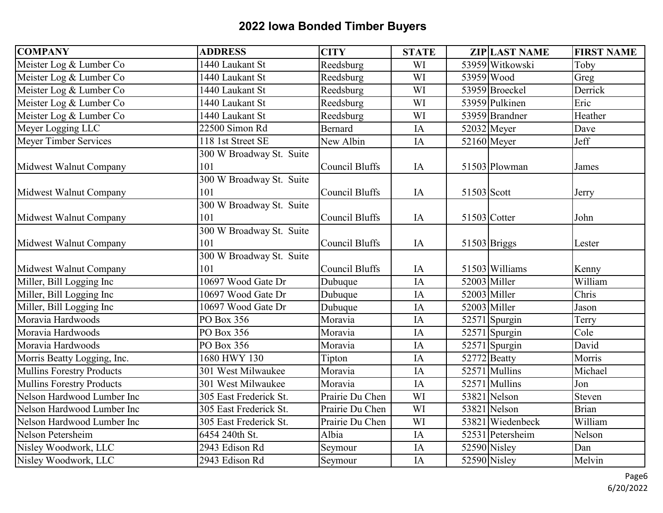| <b>COMPANY</b>                   | <b>ADDRESS</b>           | <b>CITY</b>           | <b>STATE</b> |             | <b>ZIP LAST NAME</b> | <b>FIRST NAME</b>        |
|----------------------------------|--------------------------|-----------------------|--------------|-------------|----------------------|--------------------------|
| Meister Log & Lumber Co          | 1440 Laukant St          | Reedsburg             | WI           |             | 53959 Witkowski      | Toby                     |
| Meister Log & Lumber Co          | 1440 Laukant St          | Reedsburg             | WI           |             | 53959 Wood           | Greg                     |
| Meister Log & Lumber Co          | 1440 Laukant St          | Reedsburg             | WI           |             | 53959 Broeckel       | Derrick                  |
| Meister Log & Lumber Co          | 1440 Laukant St          | Reedsburg             | WI           |             | 53959 Pulkinen       | Eric                     |
| Meister Log & Lumber Co          | 1440 Laukant St          | Reedsburg             | WI           |             | 53959 Brandner       | Heather                  |
| Meyer Logging LLC                | 22500 Simon Rd           | <b>Bernard</b>        | IA           |             | $52032$ Meyer        | Dave                     |
| Meyer Timber Services            | 118 1st Street SE        | New Albin             | IA           |             | 52160 Meyer          | Jeff                     |
|                                  | 300 W Broadway St. Suite |                       |              |             |                      |                          |
| Midwest Walnut Company           | 101                      | Council Bluffs        | IA           |             | 51503 Plowman        | James                    |
|                                  | 300 W Broadway St. Suite |                       |              |             |                      |                          |
| Midwest Walnut Company           | 101                      | <b>Council Bluffs</b> | IA           | 51503 Scott |                      | Jerry                    |
|                                  | 300 W Broadway St. Suite |                       |              |             |                      |                          |
| Midwest Walnut Company           | 101                      | <b>Council Bluffs</b> | IA           |             | 51503 Cotter         | John                     |
|                                  | 300 W Broadway St. Suite |                       |              |             |                      |                          |
| Midwest Walnut Company           | 101                      | <b>Council Bluffs</b> | IA           |             | 51503 Briggs         | Lester                   |
|                                  | 300 W Broadway St. Suite |                       |              |             |                      |                          |
| Midwest Walnut Company           | 101                      | Council Bluffs        | IA           |             | 51503 Williams       | Kenny                    |
| Miller, Bill Logging Inc         | 10697 Wood Gate Dr       | Dubuque               | IA           |             | $52003$ Miller       | William                  |
| Miller, Bill Logging Inc         | 10697 Wood Gate Dr       | Dubuque               | IA           |             | $52003$ Miller       | Chris                    |
| Miller, Bill Logging Inc         | 10697 Wood Gate Dr       | Dubuque               | IA           |             | $52003$ Miller       | Jason                    |
| Moravia Hardwoods                | PO Box 356               | Moravia               | IA           |             | $52571$ Spurgin      | Terry                    |
| Moravia Hardwoods                | PO Box 356               | Moravia               | IA           |             | $52571$ Spurgin      | $\overline{\text{Cole}}$ |
| Moravia Hardwoods                | PO Box 356               | Moravia               | IA           |             | $52571$ Spurgin      | David                    |
| Morris Beatty Logging, Inc.      | 1680 HWY 130             | Tipton                | IA           |             | 52772 Beatty         | Morris                   |
| <b>Mullins Forestry Products</b> | 301 West Milwaukee       | Moravia               | IA           |             | 52571 Mullins        | Michael                  |
| <b>Mullins Forestry Products</b> | 301 West Milwaukee       | Moravia               | IA           |             | 52571 Mullins        | Jon                      |
| Nelson Hardwood Lumber Inc       | 305 East Frederick St.   | Prairie Du Chen       | WI           |             | 53821 Nelson         | Steven                   |
| Nelson Hardwood Lumber Inc       | 305 East Frederick St.   | Prairie Du Chen       | WI           |             | 53821 Nelson         | <b>Brian</b>             |
| Nelson Hardwood Lumber Inc       | 305 East Frederick St.   | Prairie Du Chen       | WI           |             | 53821 Wiedenbeck     | William                  |
| Nelson Petersheim                | 6454 240th St.           | Albia                 | IA           |             | 52531 Petersheim     | Nelson                   |
| Nisley Woodwork, LLC             | 2943 Edison Rd           | Seymour               | IA           |             | 52590 Nisley         | Dan                      |
| Nisley Woodwork, LLC             | 2943 Edison Rd           | Seymour               | IA           |             | 52590 Nisley         | Melvin                   |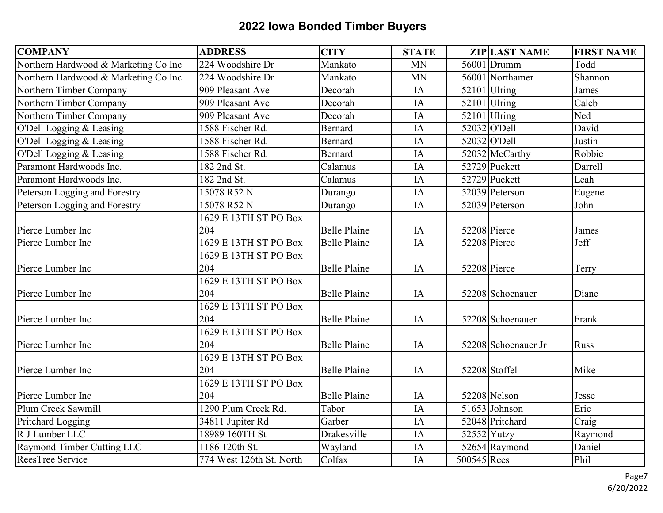| <b>COMPANY</b>                       | <b>ADDRESS</b>                | <b>CITY</b>         | <b>STATE</b>    |             | <b>ZIP LAST NAME</b> | <b>FIRST NAME</b>              |
|--------------------------------------|-------------------------------|---------------------|-----------------|-------------|----------------------|--------------------------------|
| Northern Hardwood & Marketing Co Inc | 224 Woodshire Dr              | Mankato             | <b>MN</b>       |             | 56001 Drumm          | Todd                           |
| Northern Hardwood & Marketing Co Inc | 224 Woodshire Dr              | Mankato             | <b>MN</b>       |             | 56001 Northamer      | $\overline{\mathsf{Sh}}$ annon |
| Northern Timber Company              | 909 Pleasant Ave              | Decorah             | IA              |             | $52101$ Ulring       | James                          |
| Northern Timber Company              | 909 Pleasant Ave              | Decorah             | IA              |             | $52101$ Ulring       | Caleb                          |
| Northern Timber Company              | $\overline{909}$ Pleasant Ave | Decorah             | IA              |             | $52101$ Ulring       | Ned                            |
| O'Dell Logging & Leasing             | 1588 Fischer Rd.              | <b>Bernard</b>      | $\overline{IA}$ |             | 52032 O'Dell         | David                          |
| O'Dell Logging & Leasing             | 1588 Fischer Rd.              | Bernard             | IA              |             | 52032 O'Dell         | Justin                         |
| O'Dell Logging & Leasing             | 1588 Fischer Rd.              | <b>Bernard</b>      | IA              |             | 52032 McCarthy       | Robbie                         |
| Paramont Hardwoods Inc.              | 182 2nd St.                   | Calamus             | IA              |             | 52729 Puckett        | Darrell                        |
| Paramont Hardwoods Inc.              | 182 2nd St.                   | Calamus             | IA              |             | 52729 Puckett        | Leah                           |
| Peterson Logging and Forestry        | 15078 R52 N                   | Durango             | IA              |             | 52039 Peterson       | Eugene                         |
| Peterson Logging and Forestry        | 15078 R52 N                   | Durango             | IA              |             | 52039 Peterson       | John                           |
|                                      | 1629 E 13TH ST PO Box         |                     |                 |             |                      |                                |
| Pierce Lumber Inc                    | 204                           | <b>Belle Plaine</b> | IA              |             | 52208 Pierce         | James                          |
| Pierce Lumber Inc                    | 1629 E 13TH ST PO Box         | <b>Belle Plaine</b> | IA              |             | 52208 Pierce         | Jeff                           |
|                                      | 1629 E 13TH ST PO Box         |                     |                 |             |                      |                                |
| Pierce Lumber Inc                    | 204                           | <b>Belle Plaine</b> | IA              |             | 52208 Pierce         | Terry                          |
|                                      | 1629 E 13TH ST PO Box         |                     |                 |             |                      |                                |
| Pierce Lumber Inc                    | 204                           | <b>Belle Plaine</b> | IA              |             | 52208 Schoenauer     | Diane                          |
|                                      | 1629 E 13TH ST PO Box         |                     |                 |             |                      |                                |
| Pierce Lumber Inc                    | 204                           | <b>Belle Plaine</b> | IA              |             | 52208 Schoenauer     | Frank                          |
|                                      | 1629 E 13TH ST PO Box         |                     |                 |             |                      |                                |
| Pierce Lumber Inc                    | 204                           | <b>Belle Plaine</b> | IA              |             | 52208 Schoenauer Jr  | <b>Russ</b>                    |
|                                      | 1629 E 13TH ST PO Box         |                     |                 |             |                      |                                |
| Pierce Lumber Inc                    | 204                           | <b>Belle Plaine</b> | IA              |             | 52208 Stoffel        | Mike                           |
|                                      | 1629 E 13TH ST PO Box         |                     |                 |             |                      |                                |
| Pierce Lumber Inc                    | 204                           | <b>Belle Plaine</b> | IA              |             | 52208 Nelson         | Jesse                          |
| Plum Creek Sawmill                   | 1290 Plum Creek Rd.           | Tabor               | IA              |             | $51653$ Johnson      | Eric                           |
| Pritchard Logging                    | 34811 Jupiter Rd              | Garber              | IA              |             | 52048 Pritchard      | Craig                          |
| R J Lumber LLC                       | 18989 160TH St                | Drakesville         | IA              |             | $52552$ Yutzy        | Raymond                        |
| Raymond Timber Cutting LLC           | 1186 120th St.                | Wayland             | IA              |             | 52654 Raymond        | Daniel                         |
| ReesTree Service                     | 774 West 126th St. North      | Colfax              | IA              | 500545 Rees |                      | Phil                           |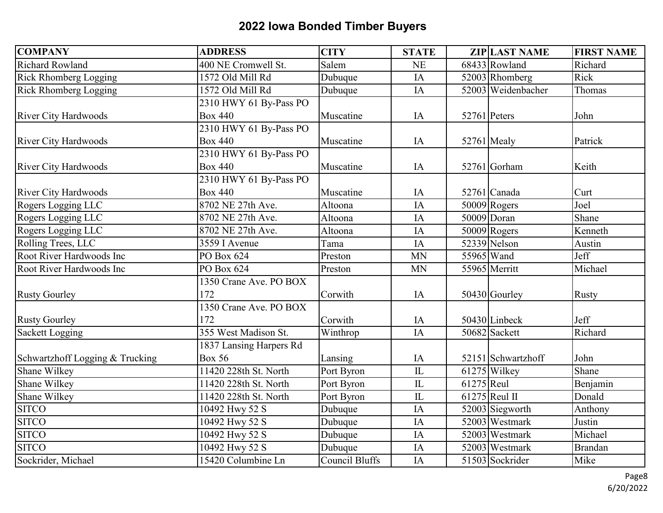| <b>COMPANY</b>                  | <b>ADDRESS</b>          | <b>CITY</b>           | <b>STATE</b>           |            | <b>ZIP LAST NAME</b> | <b>FIRST NAME</b> |
|---------------------------------|-------------------------|-----------------------|------------------------|------------|----------------------|-------------------|
| <b>Richard Rowland</b>          | 400 NE Cromwell St.     | Salem                 | <b>NE</b>              |            | 68433 Rowland        | Richard           |
| Rick Rhomberg Logging           | 1572 Old Mill Rd        | Dubuque               | IA                     |            | 52003 Rhomberg       | Rick              |
| Rick Rhomberg Logging           | 1572 Old Mill Rd        | Dubuque               | IA                     |            | 52003 Weidenbacher   | Thomas            |
|                                 | 2310 HWY 61 By-Pass PO  |                       |                        |            |                      |                   |
| <b>River City Hardwoods</b>     | <b>Box 440</b>          | Muscatine             | IA                     |            | 52761 Peters         | John              |
|                                 | 2310 HWY 61 By-Pass PO  |                       |                        |            |                      |                   |
| <b>River City Hardwoods</b>     | <b>Box 440</b>          | Muscatine             | IA                     |            | 52761 Mealy          | Patrick           |
|                                 | 2310 HWY 61 By-Pass PO  |                       |                        |            |                      |                   |
| <b>River City Hardwoods</b>     | <b>Box 440</b>          | Muscatine             | IA                     |            | 52761 Gorham         | Keith             |
|                                 | 2310 HWY 61 By-Pass PO  |                       |                        |            |                      |                   |
| <b>River City Hardwoods</b>     | <b>Box 440</b>          | Muscatine             | IA                     |            | 52761 Canada         | Curt              |
| Rogers Logging LLC              | 8702 NE 27th Ave.       | Altoona               | IA                     |            | $50009$ Rogers       | Joel              |
| Rogers Logging LLC              | 8702 NE 27th Ave.       | Altoona               | IA                     |            | 50009 Doran          | Shane             |
| Rogers Logging LLC              | 8702 NE 27th Ave.       | Altoona               | IA                     |            | $50009$ Rogers       | Kenneth           |
| Rolling Trees, LLC              | 3559 I Avenue           | Tama                  | IA                     |            | 52339 Nelson         | Austin            |
| Root River Hardwoods Inc        | PO Box 624              | Preston               | <b>MN</b>              |            | 55965 Wand           | Jeff              |
| Root River Hardwoods Inc        | PO Box 624              | Preston               | <b>MN</b>              |            | 55965 Merritt        | Michael           |
|                                 | 1350 Crane Ave. PO BOX  |                       |                        |            |                      |                   |
| <b>Rusty Gourley</b>            | 172                     | Corwith               | IA                     |            | 50430 Gourley        | <b>Rusty</b>      |
|                                 | 1350 Crane Ave. PO BOX  |                       |                        |            |                      |                   |
| <b>Rusty Gourley</b>            | 172                     | Corwith               | IA                     |            | 50430 Linbeck        | Jeff              |
| <b>Sackett Logging</b>          | 355 West Madison St.    | Winthrop              | IA                     |            | 50682 Sackett        | Richard           |
|                                 | 1837 Lansing Harpers Rd |                       |                        |            |                      |                   |
| Schwartzhoff Logging & Trucking | <b>Box 56</b>           | Lansing               | IA                     |            | 52151 Schwartzhoff   | John              |
| Shane Wilkey                    | 11420 228th St. North   | Port Byron            | $\overline{\text{IL}}$ |            | 61275 Wilkey         | Shane             |
| Shane Wilkey                    | 11420 228th St. North   | Port Byron            | IL                     | 61275 Reul |                      | Benjamin          |
| Shane Wilkey                    | 11420 228th St. North   | Port Byron            | ${\rm IL}$             |            | $61275$ Reul II      | Donald            |
| <b>SITCO</b>                    | 10492 Hwy 52 S          | Dubuque               | IA                     |            | 52003 Siegworth      | Anthony           |
| <b>SITCO</b>                    | 10492 Hwy 52 S          | Dubuque               | IA                     |            | 52003 Westmark       | Justin            |
| <b>SITCO</b>                    | 10492 Hwy 52 S          | Dubuque               | IA                     |            | 52003 Westmark       | Michael           |
| <b>SITCO</b>                    | 10492 Hwy 52 S          | Dubuque               | IA                     |            | 52003 Westmark       | <b>Brandan</b>    |
| Sockrider, Michael              | 15420 Columbine Ln      | <b>Council Bluffs</b> | $\overline{IA}$        |            | 51503 Sockrider      | Mike              |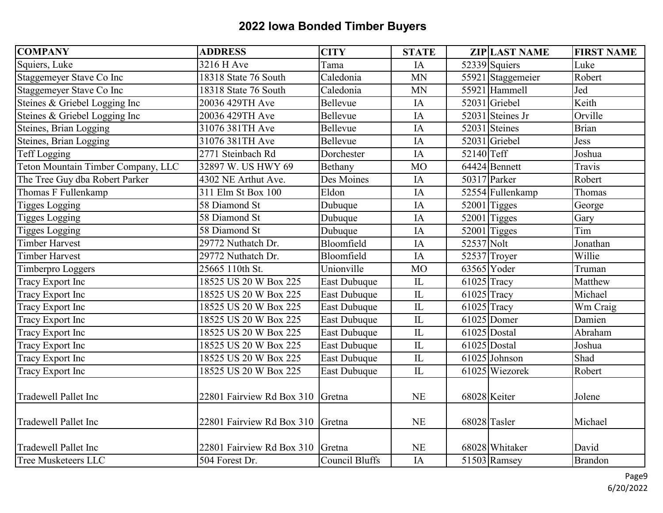| <b>COMPANY</b>                     | <b>ADDRESS</b>                   | <b>CITY</b>         | <b>STATE</b>  |               | <b>ZIP LAST NAME</b> | <b>FIRST NAME</b> |
|------------------------------------|----------------------------------|---------------------|---------------|---------------|----------------------|-------------------|
| Squiers, Luke                      | 3216 H Ave                       | Tama                | IA            |               | 52339 Squiers        | Luke              |
| Staggemeyer Stave Co Inc           | 18318 State 76 South             | Caledonia           | <b>MN</b>     |               | 55921 Staggemeier    | Robert            |
| Staggemeyer Stave Co Inc           | 18318 State 76 South             | Caledonia           | <b>MN</b>     |               | 55921 Hammell        | Jed               |
| Steines & Griebel Logging Inc      | 20036 429TH Ave                  | Bellevue            | IA            |               | 52031 Griebel        | Keith             |
| Steines & Griebel Logging Inc      | 20036 429TH Ave                  | Bellevue            | IA            |               | 52031 Steines Jr     | Orville           |
| Steines, Brian Logging             | 31076 381TH Ave                  | Bellevue            | IA            |               | 52031 Steines        | <b>Brian</b>      |
| Steines, Brian Logging             | 31076 381TH Ave                  | Bellevue            | IA            |               | 52031 Griebel        | <b>Jess</b>       |
| <b>Teff Logging</b>                | 2771 Steinbach Rd                | Dorchester          | IA            | 52140 Teff    |                      | Joshua            |
| Teton Mountain Timber Company, LLC | 32897 W. US HWY 69               | Bethany             | <b>MO</b>     |               | 64424 Bennett        | Travis            |
| The Tree Guy dba Robert Parker     | 4302 NE Arthut Ave.              | Des Moines          | IA            |               | 50317 Parker         | Robert            |
| Thomas F Fullenkamp                | 311 Elm St Box 100               | Eldon               | IA            |               | 52554 Fullenkamp     | Thomas            |
| <b>Tigges Logging</b>              | 58 Diamond St                    | Dubuque             | IA            |               | $52001$ Tigges       | George            |
| <b>Tigges Logging</b>              | 58 Diamond St                    | Dubuque             | IA            |               | $52001$ Tigges       | Gary              |
| <b>Tigges Logging</b>              | 58 Diamond St                    | Dubuque             | IA            |               | $52001$ Tigges       | Tim               |
| <b>Timber Harvest</b>              | 29772 Nuthatch Dr.               | Bloomfield          | IA            | 52537 Nolt    |                      | Jonathan          |
| <b>Timber Harvest</b>              | 29772 Nuthatch Dr.               | Bloomfield          | IA            |               | 52537 Troyer         | Willie            |
| Timberpro Loggers                  | 25665 110th St.                  | Unionville          | <b>MO</b>     |               | $63565$ Yoder        | Truman            |
| Tracy Export Inc                   | 18525 US 20 W Box 225            | East Dubuque        | $\mathbf{L}$  | $61025$ Tracy |                      | Matthew           |
| Tracy Export Inc                   | 18525 US 20 W Box 225            | <b>East Dubuque</b> | $\mathbb{L}$  |               | 61025 Tracy          | Michael           |
| Tracy Export Inc                   | 18525 US 20 W Box 225            | East Dubuque        | $\mathbf{L}$  |               | 61025 Tracy          | Wm Craig          |
| Tracy Export Inc                   | 18525 US 20 W Box 225            | East Dubuque        | $\mathbf{L}$  |               | $61025$ Domer        | Damien            |
| Tracy Export Inc                   | 18525 US 20 W Box 225            | <b>East Dubuque</b> | $\hbox{I\!L}$ |               | $61025$ Dostal       | Abraham           |
| Tracy Export Inc                   | 18525 US 20 W Box 225            | <b>East Dubuque</b> | $\mathbb{L}$  |               | $61025$ Dostal       | Joshua            |
| <b>Tracy Export Inc</b>            | 18525 US 20 W Box 225            | <b>East Dubuque</b> | $\mathbf{L}$  |               | 61025 Johnson        | Shad              |
| <b>Tracy Export Inc</b>            | 18525 US 20 W Box 225            | <b>East Dubuque</b> | $\mathbf{L}$  |               | 61025 Wiezorek       | Robert            |
| <b>Tradewell Pallet Inc</b>        | 22801 Fairview Rd Box 310 Gretna |                     | <b>NE</b>     |               | 68028 Keiter         | Jolene            |
| <b>Tradewell Pallet Inc</b>        | 22801 Fairview Rd Box 310 Gretna |                     | <b>NE</b>     |               | 68028 Tasler         | Michael           |
| <b>Tradewell Pallet Inc</b>        | 22801 Fairview Rd Box 310 Gretna |                     | <b>NE</b>     |               | 68028 Whitaker       | David             |
| <b>Tree Musketeers LLC</b>         | 504 Forest Dr.                   | Council Bluffs      | IA            |               | 51503 Ramsey         | Brandon           |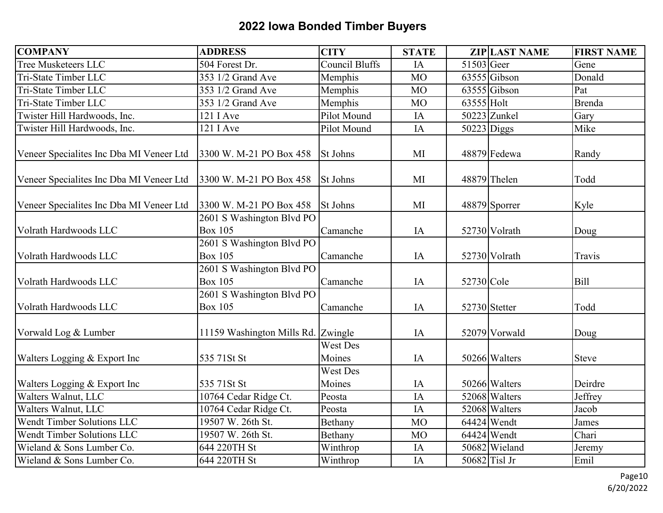| <b>COMPANY</b>                           | <b>ADDRESS</b>                              | <b>CITY</b>               | <b>STATE</b> |               | <b>ZIP LAST NAME</b> | <b>FIRST NAME</b> |
|------------------------------------------|---------------------------------------------|---------------------------|--------------|---------------|----------------------|-------------------|
| Tree Musketeers LLC                      | 504 Forest Dr.                              | <b>Council Bluffs</b>     | IA           | 51503 Geer    |                      | Gene              |
| Tri-State Timber LLC                     | 353 1/2 Grand Ave                           | Memphis                   | <b>MO</b>    |               | $63555$ Gibson       | Donald            |
| Tri-State Timber LLC                     | 353 1/2 Grand Ave                           | Memphis                   | <b>MO</b>    |               | 63555 Gibson         | Pat               |
| Tri-State Timber LLC                     | 353 1/2 Grand Ave                           | Memphis                   | <b>MO</b>    | 63555 Holt    |                      | <b>Brenda</b>     |
| Twister Hill Hardwoods, Inc.             | 121 I Ave                                   | Pilot Mound               | IA           |               | 50223 Zunkel         | Gary              |
| Twister Hill Hardwoods, Inc.             | 121 I Ave                                   | Pilot Mound               | IA           | $50223$ Diggs |                      | Mike              |
| Veneer Specialites Inc Dba MI Veneer Ltd | 3300 W. M-21 PO Box 458                     | <b>St Johns</b>           | MI           |               | 48879 Fedewa         | Randy             |
| Veneer Specialites Inc Dba MI Veneer Ltd | 3300 W. M-21 PO Box 458                     | St Johns                  | MI           |               | 48879 Thelen         | Todd              |
| Veneer Specialites Inc Dba MI Veneer Ltd | 3300 W. M-21 PO Box 458                     | <b>St Johns</b>           | MI           |               | 48879 Sporrer        | Kyle              |
| Volrath Hardwoods LLC                    | 2601 S Washington Blvd PO<br><b>Box 105</b> | Camanche                  | IA           |               | 52730 Volrath        | Doug              |
| Volrath Hardwoods LLC                    | 2601 S Washington Blvd PO<br><b>Box 105</b> | Camanche                  | IA           |               | 52730 Volrath        | Travis            |
| Volrath Hardwoods LLC                    | 2601 S Washington Blvd PO<br><b>Box 105</b> | Camanche                  | IA           | 52730 Cole    |                      | Bill              |
| Volrath Hardwoods LLC                    | 2601 S Washington Blvd PO<br><b>Box 105</b> | Camanche                  | IA           |               | 52730 Stetter        | Todd              |
| Vorwald Log & Lumber                     | 11159 Washington Mills Rd. Zwingle          |                           | IA           |               | 52079 Vorwald        | Doug              |
| Walters Logging & Export Inc             | 535 71St St                                 | <b>West Des</b><br>Moines | IA           |               | 50266 Walters        | <b>Steve</b>      |
| Walters Logging & Export Inc             | 535 71St St                                 | <b>West Des</b><br>Moines | IA           |               | 50266 Walters        | Deirdre           |
| Walters Walnut, LLC                      | 10764 Cedar Ridge Ct.                       | Peosta                    | IA           |               | 52068 Walters        | Jeffrey           |
| Walters Walnut, LLC                      | 10764 Cedar Ridge Ct.                       | Peosta                    | IA           |               | 52068 Walters        | Jacob             |
| Wendt Timber Solutions LLC               | 19507 W. 26th St.                           | Bethany                   | <b>MO</b>    |               | 64424 Wendt          | James             |
| Wendt Timber Solutions LLC               | 19507 W. 26th St.                           | Bethany                   | <b>MO</b>    |               | 64424 Wendt          | Chari             |
| Wieland & Sons Lumber Co.                | 644 220TH St                                | Winthrop                  | IA           |               | 50682 Wieland        | Jeremy            |
| Wieland & Sons Lumber Co.                | 644 220TH St                                | Winthrop                  | IA           |               | $50682$ Tisl Jr      | Emil              |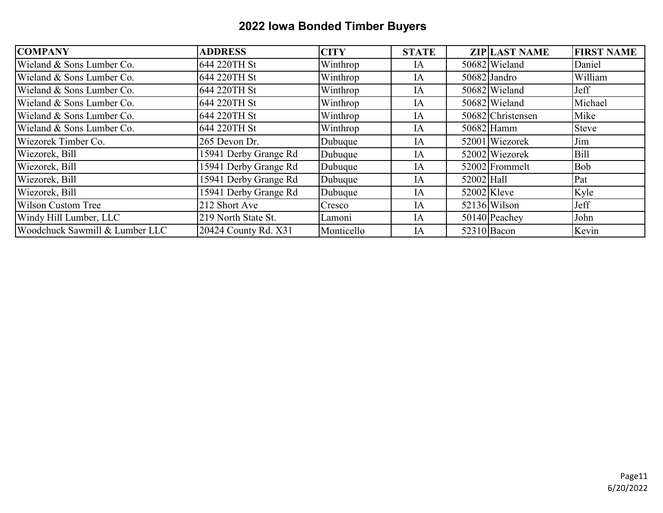| <b>COMPANY</b>                 | <b>ADDRESS</b>        | <b>CITY</b> | <b>STATE</b> |            | <b>ZIP LAST NAME</b> | <b>FIRST NAME</b> |
|--------------------------------|-----------------------|-------------|--------------|------------|----------------------|-------------------|
| Wieland & Sons Lumber Co.      | 644 220TH St          | Winthrop    | IA           |            | 50682 Wieland        | Daniel            |
| Wieland & Sons Lumber Co.      | 644 220TH St          | Winthrop    | IA           |            | 50682 Jandro         | William           |
| Wieland & Sons Lumber Co.      | 644 220TH St          | Winthrop    | IA           |            | 50682 Wieland        | Jeff              |
| Wieland & Sons Lumber Co.      | 644 220TH St          | Winthrop    | IA           |            | 50682 Wieland        | Michael           |
| Wieland & Sons Lumber Co.      | 644 220TH St          | Winthrop    | IA           |            | 50682 Christensen    | Mike              |
| Wieland & Sons Lumber Co.      | 644 220TH St          | Winthrop    | IA           |            | 50682 Hamm           | <b>Steve</b>      |
| Wiezorek Timber Co.            | 265 Devon Dr.         | Dubuque     | IA           |            | 52001 Wiezorek       | Jim               |
| Wiezorek, Bill                 | 15941 Derby Grange Rd | Dubuque     | IA           |            | 52002 Wiezorek       | <b>Bill</b>       |
| Wiezorek, Bill                 | 15941 Derby Grange Rd | Dubuque     | IA           |            | 52002 Frommelt       | <b>Bob</b>        |
| Wiezorek, Bill                 | 15941 Derby Grange Rd | Dubuque     | IA           | 52002 Hall |                      | Pat               |
| Wiezorek, Bill                 | 15941 Derby Grange Rd | Dubuque     | IA           |            | 52002 Kleve          | Kyle              |
| <b>Wilson Custom Tree</b>      | 212 Short Ave         | Cresco      | IA           |            | $52136$ Wilson       | Jeff              |
| Windy Hill Lumber, LLC         | 219 North State St.   | Lamoni      | IA           |            | 50140 Peachey        | John              |
| Woodchuck Sawmill & Lumber LLC | 20424 County Rd. X31  | Monticello  | IA           |            | 52310 Bacon          | Kevin             |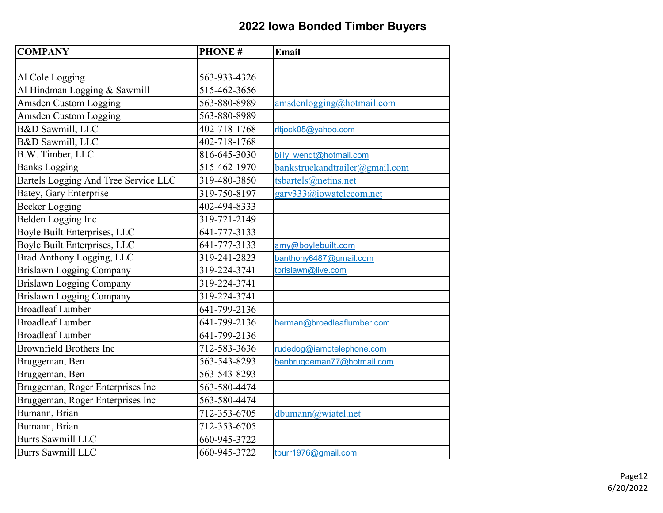| <b>COMPANY</b>                       | <b>PHONE#</b> | Email                          |
|--------------------------------------|---------------|--------------------------------|
|                                      |               |                                |
| Al Cole Logging                      | 563-933-4326  |                                |
| Al Hindman Logging & Sawmill         | 515-462-3656  |                                |
| <b>Amsden Custom Logging</b>         | 563-880-8989  | amsdenlogging@hotmail.com      |
| <b>Amsden Custom Logging</b>         | 563-880-8989  |                                |
| B&D Sawmill, LLC                     | 402-718-1768  | rltjock05@yahoo.com            |
| B&D Sawmill, LLC                     | 402-718-1768  |                                |
| B.W. Timber, LLC                     | 816-645-3030  | billy wendt@hotmail.com        |
| <b>Banks Logging</b>                 | 515-462-1970  | bankstruckandtrailer@gmail.com |
| Bartels Logging And Tree Service LLC | 319-480-3850  | tsbartels@netins.net           |
| <b>Batey, Gary Enterprise</b>        | 319-750-8197  | gary333@iowatelecom.net        |
| <b>Becker Logging</b>                | 402-494-8333  |                                |
| Belden Logging Inc                   | 319-721-2149  |                                |
| Boyle Built Enterprises, LLC         | 641-777-3133  |                                |
| Boyle Built Enterprises, LLC         | 641-777-3133  | amy@boylebuilt.com             |
| Brad Anthony Logging, LLC            | 319-241-2823  | banthony6487@gmail.com         |
| Brislawn Logging Company             | 319-224-3741  | tbrislawn@live.com             |
| <b>Brislawn Logging Company</b>      | 319-224-3741  |                                |
| <b>Brislawn Logging Company</b>      | 319-224-3741  |                                |
| <b>Broadleaf Lumber</b>              | 641-799-2136  |                                |
| <b>Broadleaf Lumber</b>              | 641-799-2136  | herman@broadleaflumber.com     |
| <b>Broadleaf Lumber</b>              | 641-799-2136  |                                |
| <b>Brownfield Brothers Inc</b>       | 712-583-3636  | rudedog@iamotelephone.com      |
| Bruggeman, Ben                       | 563-543-8293  | benbruggeman77@hotmail.com     |
| Bruggeman, Ben                       | 563-543-8293  |                                |
| Bruggeman, Roger Enterprises Inc     | 563-580-4474  |                                |
| Bruggeman, Roger Enterprises Inc     | 563-580-4474  |                                |
| Bumann, Brian                        | 712-353-6705  | dbumann@wiatel.net             |
| Bumann, Brian                        | 712-353-6705  |                                |
| <b>Burrs Sawmill LLC</b>             | 660-945-3722  |                                |
| <b>Burrs Sawmill LLC</b>             | 660-945-3722  | tburr1976@gmail.com            |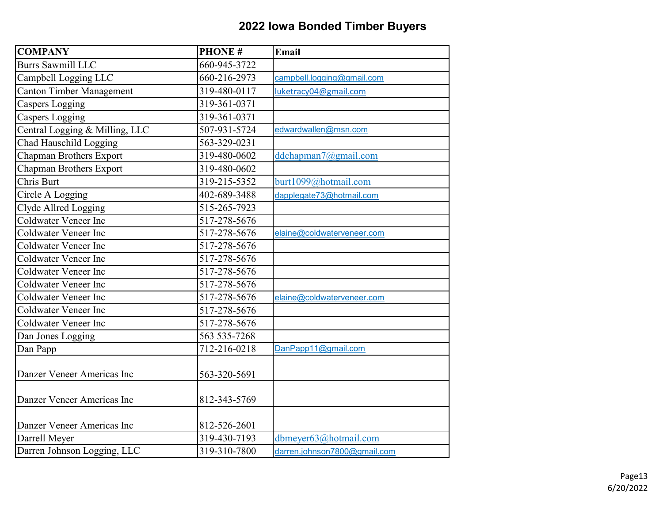| <b>COMPANY</b>                  | <b>PHONE#</b>      | Email                        |
|---------------------------------|--------------------|------------------------------|
| <b>Burrs Sawmill LLC</b>        | 660-945-3722       |                              |
| Campbell Logging LLC            | 660-216-2973       | campbell.logging@gmail.com   |
| <b>Canton Timber Management</b> | 319-480-0117       | luketracy04@gmail.com        |
| <b>Caspers Logging</b>          | 319-361-0371       |                              |
| <b>Caspers Logging</b>          | 319-361-0371       |                              |
| Central Logging & Milling, LLC  | 507-931-5724       | edwardwallen@msn.com         |
| <b>Chad Hauschild Logging</b>   | 563-329-0231       |                              |
| Chapman Brothers Export         | 319-480-0602       | ddchapman7@gmail.com         |
| Chapman Brothers Export         | 319-480-0602       |                              |
| Chris Burt                      | 319-215-5352       | burt1099@hotmail.com         |
| Circle A Logging                | 402-689-3488       | dapplegate73@hotmail.com     |
| Clyde Allred Logging            | 515-265-7923       |                              |
| Coldwater Veneer Inc            | 517-278-5676       |                              |
| <b>Coldwater Veneer Inc</b>     | 517-278-5676       | elaine@coldwaterveneer.com   |
| <b>Coldwater Veneer Inc</b>     | 517-278-5676       |                              |
| <b>Coldwater Veneer Inc</b>     | 517-278-5676       |                              |
| <b>Coldwater Veneer Inc</b>     | $517 - 278 - 5676$ |                              |
| <b>Coldwater Veneer Inc</b>     | 517-278-5676       |                              |
| <b>Coldwater Veneer Inc</b>     | 517-278-5676       | elaine@coldwaterveneer.com   |
| <b>Coldwater Veneer Inc</b>     | 517-278-5676       |                              |
| <b>Coldwater Veneer Inc</b>     | 517-278-5676       |                              |
| Dan Jones Logging               | 563 535-7268       |                              |
| Dan Papp                        | 712-216-0218       | DanPapp11@gmail.com          |
|                                 |                    |                              |
| Danzer Veneer Americas Inc      | 563-320-5691       |                              |
|                                 |                    |                              |
| Danzer Veneer Americas Inc      | 812-343-5769       |                              |
|                                 |                    |                              |
| Danzer Veneer Americas Inc      | 812-526-2601       |                              |
| Darrell Meyer                   | 319-430-7193       | dbmeyer63@hotmail.com        |
| Darren Johnson Logging, LLC     | 319-310-7800       | darren.johnson7800@gmail.com |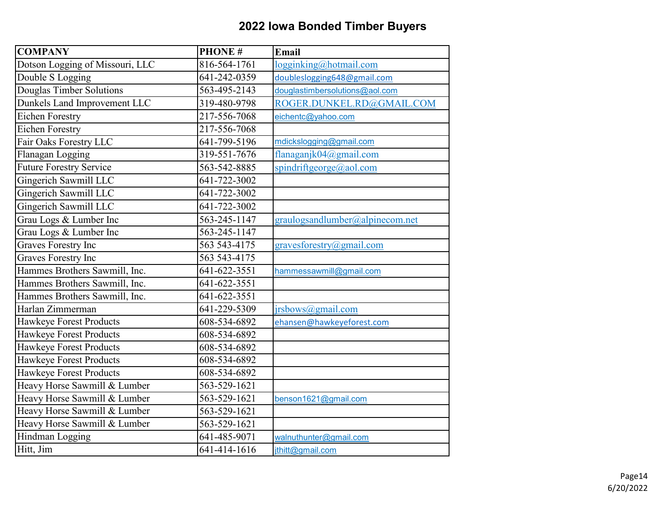| <b>COMPANY</b>                  | <b>PHONE#</b> | Email                           |
|---------------------------------|---------------|---------------------------------|
| Dotson Logging of Missouri, LLC | 816-564-1761  | logginking@hotmail.com          |
| Double S Logging                | 641-242-0359  | doubleslogging648@gmail.com     |
| Douglas Timber Solutions        | 563-495-2143  | douglastimbersolutions@aol.com  |
| Dunkels Land Improvement LLC    | 319-480-9798  | ROGER.DUNKEL.RD@GMAIL.COM       |
| <b>Eichen Forestry</b>          | 217-556-7068  | eichentc@yahoo.com              |
| <b>Eichen Forestry</b>          | 217-556-7068  |                                 |
| Fair Oaks Forestry LLC          | 641-799-5196  | mdickslogging@gmail.com         |
| Flanagan Logging                | 319-551-7676  | flanaganjk04@gmail.com          |
| <b>Future Forestry Service</b>  | 563-542-8885  | spindriftgeorge@aol.com         |
| Gingerich Sawmill LLC           | 641-722-3002  |                                 |
| Gingerich Sawmill LLC           | 641-722-3002  |                                 |
| Gingerich Sawmill LLC           | 641-722-3002  |                                 |
| Grau Logs & Lumber Inc          | 563-245-1147  | graulogsandlumber@alpinecom.net |
| Grau Logs & Lumber Inc          | 563-245-1147  |                                 |
| Graves Forestry Inc             | 563 543-4175  | gravesforestry@gmail.com        |
| <b>Graves Forestry Inc</b>      | 563 543-4175  |                                 |
| Hammes Brothers Sawmill, Inc.   | 641-622-3551  | hammessawmill@gmail.com         |
| Hammes Brothers Sawmill, Inc.   | 641-622-3551  |                                 |
| Hammes Brothers Sawmill, Inc.   | 641-622-3551  |                                 |
| Harlan Zimmerman                | 641-229-5309  | jrsbows@gmail.com               |
| Hawkeye Forest Products         | 608-534-6892  | ehansen@hawkeyeforest.com       |
| Hawkeye Forest Products         | 608-534-6892  |                                 |
| Hawkeye Forest Products         | 608-534-6892  |                                 |
| Hawkeye Forest Products         | 608-534-6892  |                                 |
| Hawkeye Forest Products         | 608-534-6892  |                                 |
| Heavy Horse Sawmill & Lumber    | 563-529-1621  |                                 |
| Heavy Horse Sawmill & Lumber    | 563-529-1621  | benson1621@gmail.com            |
| Heavy Horse Sawmill & Lumber    | 563-529-1621  |                                 |
| Heavy Horse Sawmill & Lumber    | 563-529-1621  |                                 |
| Hindman Logging                 | 641-485-9071  | walnuthunter@gmail.com          |
| Hitt, Jim                       | 641-414-1616  | jthitt@gmail.com                |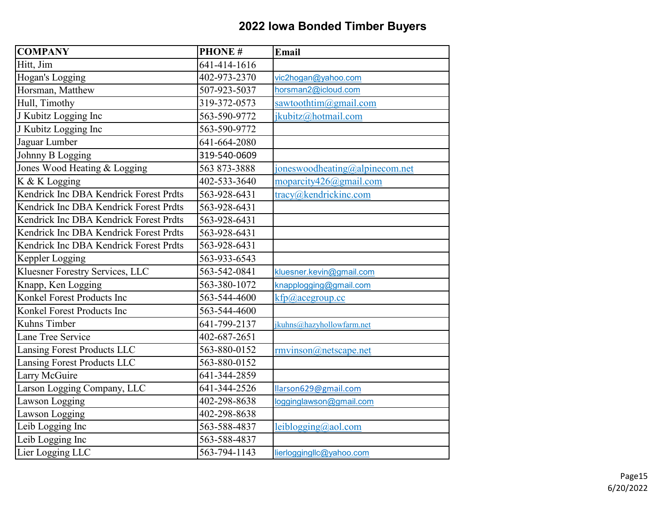| <b>COMPANY</b>                         | <b>PHONE#</b> | <b>Email</b>                   |
|----------------------------------------|---------------|--------------------------------|
| Hitt, Jim                              | 641-414-1616  |                                |
| Hogan's Logging                        | 402-973-2370  | vic2hogan@yahoo.com            |
| Horsman, Matthew                       | 507-923-5037  | horsman2@icloud.com            |
| Hull, Timothy                          | 319-372-0573  | sawtoothtim@gmail.com          |
| J Kubitz Logging Inc                   | 563-590-9772  | jkubitz@hotmail.com            |
| J Kubitz Logging Inc                   | 563-590-9772  |                                |
| Jaguar Lumber                          | 641-664-2080  |                                |
| Johnny B Logging                       | 319-540-0609  |                                |
| Jones Wood Heating & Logging           | 563 873-3888  | joneswoodheating@alpinecom.net |
| K & K Logging                          | 402-533-3640  | moparcity426@gmail.com         |
| Kendrick Inc DBA Kendrick Forest Prdts | 563-928-6431  | tracy@kendrickinc.com          |
| Kendrick Inc DBA Kendrick Forest Prdts | 563-928-6431  |                                |
| Kendrick Inc DBA Kendrick Forest Prdts | 563-928-6431  |                                |
| Kendrick Inc DBA Kendrick Forest Prdts | 563-928-6431  |                                |
| Kendrick Inc DBA Kendrick Forest Prdts | 563-928-6431  |                                |
| Keppler Logging                        | 563-933-6543  |                                |
| Kluesner Forestry Services, LLC        | 563-542-0841  | kluesner.kevin@gmail.com       |
| Knapp, Ken Logging                     | 563-380-1072  | knapplogging@gmail.com         |
| Konkel Forest Products Inc             | 563-544-4600  | kfp@acegroup.cc                |
| Konkel Forest Products Inc             | 563-544-4600  |                                |
| Kuhns Timber                           | 641-799-2137  | jkuhns@hazyhollowfarm.net      |
| Lane Tree Service                      | 402-687-2651  |                                |
| Lansing Forest Products LLC            | 563-880-0152  | rmvinson@netscape.net          |
| Lansing Forest Products LLC            | 563-880-0152  |                                |
| Larry McGuire                          | 641-344-2859  |                                |
| Larson Logging Company, LLC            | 641-344-2526  | llarson629@gmail.com           |
| Lawson Logging                         | 402-298-8638  | logginglawson@gmail.com        |
| Lawson Logging                         | 402-298-8638  |                                |
| Leib Logging Inc                       | 563-588-4837  | leiblogging@aol.com            |
| Leib Logging Inc                       | 563-588-4837  |                                |
| Lier Logging LLC                       | 563-794-1143  | lierloggingllc@yahoo.com       |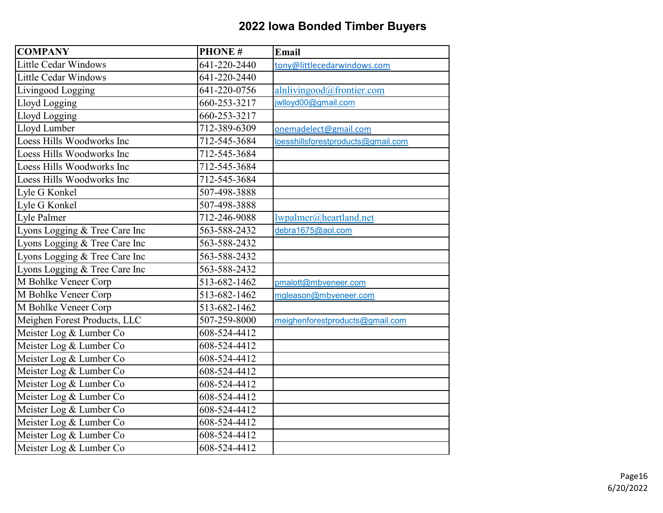| <b>COMPANY</b>                | <b>PHONE#</b> | Email                              |
|-------------------------------|---------------|------------------------------------|
| <b>Little Cedar Windows</b>   | 641-220-2440  | tony@littlecedarwindows.com        |
| <b>Little Cedar Windows</b>   | 641-220-2440  |                                    |
| Livingood Logging             | 641-220-0756  | alnlivingood@frontier.com          |
| Lloyd Logging                 | 660-253-3217  | jwlloyd00@gmail.com                |
| Lloyd Logging                 | 660-253-3217  |                                    |
| Lloyd Lumber                  | 712-389-6309  | onemadelect@gmail.com              |
| Loess Hills Woodworks Inc     | 712-545-3684  | loesshillsforestproducts@gmail.com |
| Loess Hills Woodworks Inc     | 712-545-3684  |                                    |
| Loess Hills Woodworks Inc     | 712-545-3684  |                                    |
| Loess Hills Woodworks Inc     | 712-545-3684  |                                    |
| Lyle G Konkel                 | 507-498-3888  |                                    |
| Lyle G Konkel                 | 507-498-3888  |                                    |
| Lyle Palmer                   | 712-246-9088  | lwpalmer@heartland.net             |
| Lyons Logging & Tree Care Inc | 563-588-2432  | debra1675@aol.com                  |
| Lyons Logging & Tree Care Inc | 563-588-2432  |                                    |
| Lyons Logging & Tree Care Inc | 563-588-2432  |                                    |
| Lyons Logging & Tree Care Inc | 563-588-2432  |                                    |
| M Bohlke Veneer Corp          | 513-682-1462  | pmalott@mbveneer.com               |
| M Bohlke Veneer Corp          | 513-682-1462  | mgleason@mbveneer.com              |
| M Bohlke Veneer Corp          | 513-682-1462  |                                    |
| Meighen Forest Products, LLC  | 507-259-8000  | meighenforestproducts@gmail.com    |
| Meister Log & Lumber Co       | 608-524-4412  |                                    |
| Meister Log & Lumber Co       | 608-524-4412  |                                    |
| Meister Log & Lumber Co       | 608-524-4412  |                                    |
| Meister Log & Lumber Co       | 608-524-4412  |                                    |
| Meister Log & Lumber Co       | 608-524-4412  |                                    |
| Meister Log & Lumber Co       | 608-524-4412  |                                    |
| Meister Log & Lumber Co       | 608-524-4412  |                                    |
| Meister Log & Lumber Co       | 608-524-4412  |                                    |
| Meister Log & Lumber Co       | 608-524-4412  |                                    |
| Meister Log & Lumber Co       | 608-524-4412  |                                    |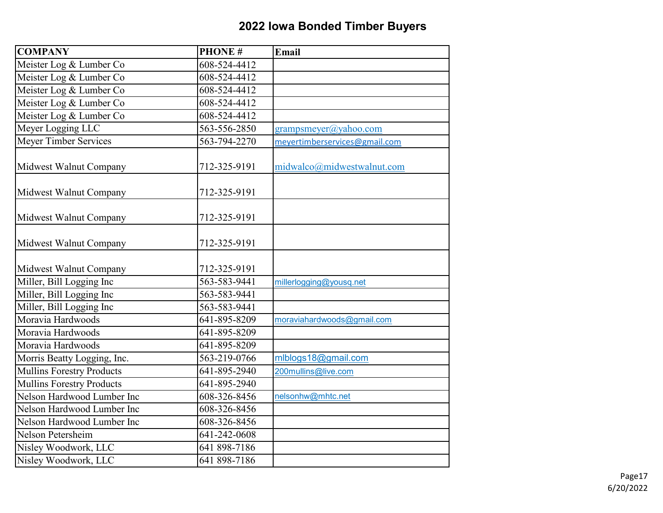| <b>COMPANY</b>                   | <b>PHONE#</b> | <b>Email</b>                  |
|----------------------------------|---------------|-------------------------------|
| Meister Log & Lumber Co          | 608-524-4412  |                               |
| Meister Log & Lumber Co          | 608-524-4412  |                               |
| Meister Log & Lumber Co          | 608-524-4412  |                               |
| Meister Log & Lumber Co          | 608-524-4412  |                               |
| Meister Log & Lumber Co          | 608-524-4412  |                               |
| Meyer Logging LLC                | 563-556-2850  | grampsmeyer@yahoo.com         |
| <b>Meyer Timber Services</b>     | 563-794-2270  | meyertimberservices@gmail.com |
| Midwest Walnut Company           | 712-325-9191  | midwalco@midwestwalnut.com    |
| Midwest Walnut Company           | 712-325-9191  |                               |
| Midwest Walnut Company           | 712-325-9191  |                               |
| Midwest Walnut Company           | 712-325-9191  |                               |
| Midwest Walnut Company           | 712-325-9191  |                               |
| Miller, Bill Logging Inc         | 563-583-9441  | millerlogging@yousq.net       |
| Miller, Bill Logging Inc         | 563-583-9441  |                               |
| Miller, Bill Logging Inc         | 563-583-9441  |                               |
| Moravia Hardwoods                | 641-895-8209  | moraviahardwoods@gmail.com    |
| Moravia Hardwoods                | 641-895-8209  |                               |
| Moravia Hardwoods                | 641-895-8209  |                               |
| Morris Beatty Logging, Inc.      | 563-219-0766  | mlblogs18@gmail.com           |
| <b>Mullins Forestry Products</b> | 641-895-2940  | 200mullins@live.com           |
| <b>Mullins Forestry Products</b> | 641-895-2940  |                               |
| Nelson Hardwood Lumber Inc       | 608-326-8456  | nelsonhw@mhtc.net             |
| Nelson Hardwood Lumber Inc       | 608-326-8456  |                               |
| Nelson Hardwood Lumber Inc       | 608-326-8456  |                               |
| Nelson Petersheim                | 641-242-0608  |                               |
| Nisley Woodwork, LLC             | 641 898-7186  |                               |
| Nisley Woodwork, LLC             | 641 898-7186  |                               |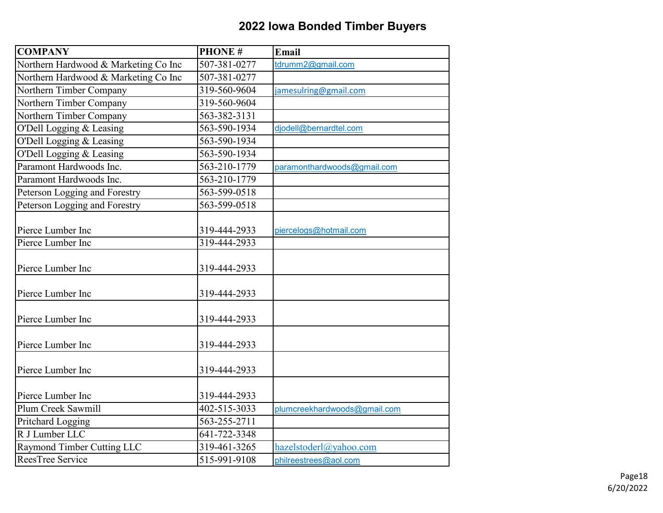| <b>COMPANY</b>                       | <b>PHONE#</b> | Email                        |
|--------------------------------------|---------------|------------------------------|
| Northern Hardwood & Marketing Co Inc | 507-381-0277  | tdrumm2@gmail.com            |
| Northern Hardwood & Marketing Co Inc | 507-381-0277  |                              |
| Northern Timber Company              | 319-560-9604  | jamesulring@gmail.com        |
| Northern Timber Company              | 319-560-9604  |                              |
| Northern Timber Company              | 563-382-3131  |                              |
| O'Dell Logging & Leasing             | 563-590-1934  | djodell@bernardtel.com       |
| O'Dell Logging & Leasing             | 563-590-1934  |                              |
| O'Dell Logging & Leasing             | 563-590-1934  |                              |
| Paramont Hardwoods Inc.              | 563-210-1779  | paramonthardwoods@gmail.com  |
| Paramont Hardwoods Inc.              | 563-210-1779  |                              |
| Peterson Logging and Forestry        | 563-599-0518  |                              |
| Peterson Logging and Forestry        | 563-599-0518  |                              |
|                                      |               |                              |
| Pierce Lumber Inc                    | 319-444-2933  | piercelogs@hotmail.com       |
| Pierce Lumber Inc                    | 319-444-2933  |                              |
|                                      |               |                              |
| Pierce Lumber Inc                    | 319-444-2933  |                              |
|                                      |               |                              |
| Pierce Lumber Inc                    | 319-444-2933  |                              |
|                                      |               |                              |
| Pierce Lumber Inc                    | 319-444-2933  |                              |
|                                      |               |                              |
| Pierce Lumber Inc                    | 319-444-2933  |                              |
|                                      |               |                              |
| Pierce Lumber Inc                    | 319-444-2933  |                              |
|                                      |               |                              |
| Pierce Lumber Inc                    | 319-444-2933  |                              |
| Plum Creek Sawmill                   | 402-515-3033  | plumcreekhardwoods@gmail.com |
| Pritchard Logging                    | 563-255-2711  |                              |
| R J Lumber LLC                       | 641-722-3348  |                              |
| Raymond Timber Cutting LLC           | 319-461-3265  | hazelstoderl@yahoo.com       |
| ReesTree Service                     | 515-991-9108  | philreestrees@aol.com        |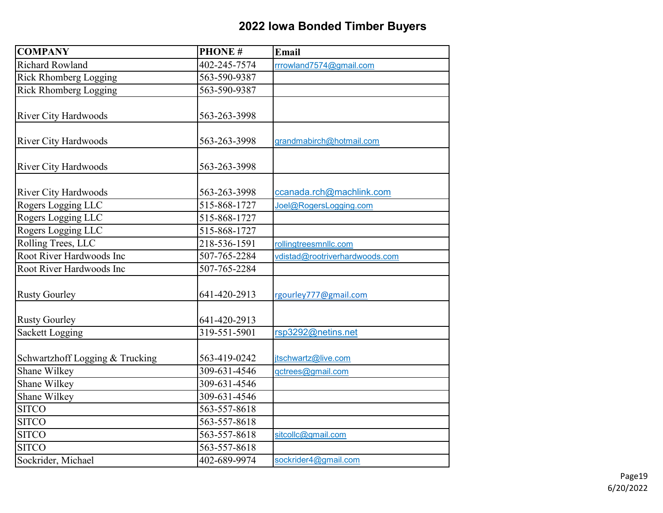| <b>COMPANY</b>                  | <b>PHONE#</b> | Email                          |
|---------------------------------|---------------|--------------------------------|
| Richard Rowland                 | 402-245-7574  | rrrowland7574@gmail.com        |
| <b>Rick Rhomberg Logging</b>    | 563-590-9387  |                                |
| Rick Rhomberg Logging           | 563-590-9387  |                                |
|                                 |               |                                |
| <b>River City Hardwoods</b>     | 563-263-3998  |                                |
| <b>River City Hardwoods</b>     | 563-263-3998  | grandmabirch@hotmail.com       |
| <b>River City Hardwoods</b>     | 563-263-3998  |                                |
| <b>River City Hardwoods</b>     | 563-263-3998  | ccanada.rch@machlink.com       |
| Rogers Logging LLC              | 515-868-1727  | Joel@RogersLogging.com         |
| Rogers Logging LLC              | 515-868-1727  |                                |
| Rogers Logging LLC              | 515-868-1727  |                                |
| Rolling Trees, LLC              | 218-536-1591  | rollingtreesmnllc.com          |
| Root River Hardwoods Inc        | 507-765-2284  | vdistad@rootriverhardwoods.com |
| Root River Hardwoods Inc        | 507-765-2284  |                                |
| <b>Rusty Gourley</b>            | 641-420-2913  | rgourley777@gmail.com          |
| <b>Rusty Gourley</b>            | 641-420-2913  |                                |
| <b>Sackett Logging</b>          | 319-551-5901  | rsp3292@netins.net             |
| Schwartzhoff Logging & Trucking | 563-419-0242  | jtschwartz@live.com            |
| Shane Wilkey                    | 309-631-4546  | gctrees@gmail.com              |
| Shane Wilkey                    | 309-631-4546  |                                |
| Shane Wilkey                    | 309-631-4546  |                                |
| <b>SITCO</b>                    | 563-557-8618  |                                |
| <b>SITCO</b>                    | 563-557-8618  |                                |
| <b>SITCO</b>                    | 563-557-8618  | sitcollc@gmail.com             |
| <b>SITCO</b>                    | 563-557-8618  |                                |
| Sockrider, Michael              | 402-689-9974  | sockrider4@gmail.com           |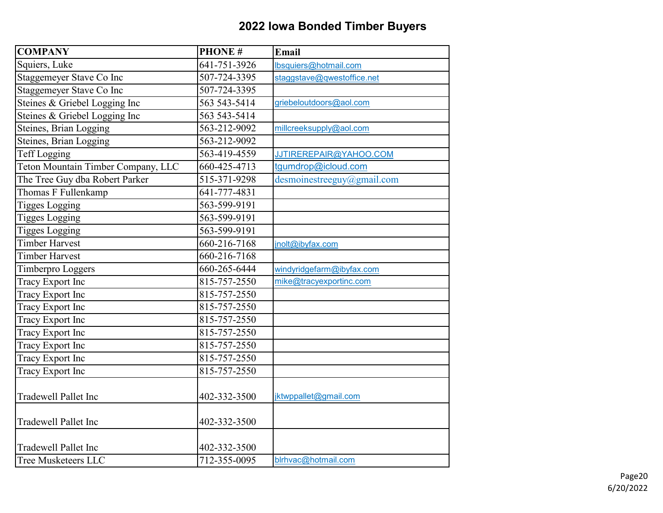| <b>COMPANY</b>                     | <b>PHONE#</b>              | <b>Email</b>                  |
|------------------------------------|----------------------------|-------------------------------|
| Squiers, Luke                      | 641-751-3926               | lbsq <u>uiers@hotmail.com</u> |
| Staggemeyer Stave Co Inc           | 507-724-3395               | staggstave@qwestoffice.net    |
| Staggemeyer Stave Co Inc           | 507-724-3395               |                               |
| Steines & Griebel Logging Inc      | 563 543-5414               | griebeloutdoors@aol.com       |
| Steines & Griebel Logging Inc      | 563 543-5414               |                               |
| Steines, Brian Logging             | 563-212-9092               | millcreeksupply@aol.com       |
| Steines, Brian Logging             | 563-212-9092               |                               |
| Teff Logging                       | 563-419-4559               | JJTIREREPAIR@YAHOO.COM        |
| Teton Mountain Timber Company, LLC | 660-425-4713               | tgumdrop@icloud.com           |
| The Tree Guy dba Robert Parker     | 515-371-9298               | desmoinestreeguy@gmail.com    |
| Thomas F Fullenkamp                | 641-777-4831               |                               |
| <b>Tigges Logging</b>              | 563-599-9191               |                               |
| <b>Tigges Logging</b>              | 563-599-9191               |                               |
| <b>Tigges Logging</b>              | 563-599-9191               |                               |
| <b>Timber Harvest</b>              | 660-216-7168               | inolt@ibyfax.com              |
| <b>Timber Harvest</b>              | 660-216-7168               |                               |
| Timberpro Loggers                  | 660-265-6444               | windyridgefarm@ibyfax.com     |
| Tracy Export Inc                   | 815-757-2550               | mike@tracyexportinc.com       |
| Tracy Export Inc                   | 815-757-2550               |                               |
| Tracy Export Inc                   | 815-757-2550               |                               |
| <b>Tracy Export Inc</b>            | 815-757-2550               |                               |
| Tracy Export Inc                   | 815-757-2550               |                               |
| Tracy Export Inc                   | 815-757-2550               |                               |
| Tracy Export Inc                   | $\overline{81}$ 5-757-2550 |                               |
| Tracy Export Inc                   | 815-757-2550               |                               |
| <b>Tradewell Pallet Inc</b>        | 402-332-3500               | jktwppallet@gmail.com         |
| <b>Tradewell Pallet Inc</b>        | 402-332-3500               |                               |
| <b>Tradewell Pallet Inc</b>        | 402-332-3500               |                               |
| Tree Musketeers LLC                | 712-355-0095               | blrhvac@hotmail.com           |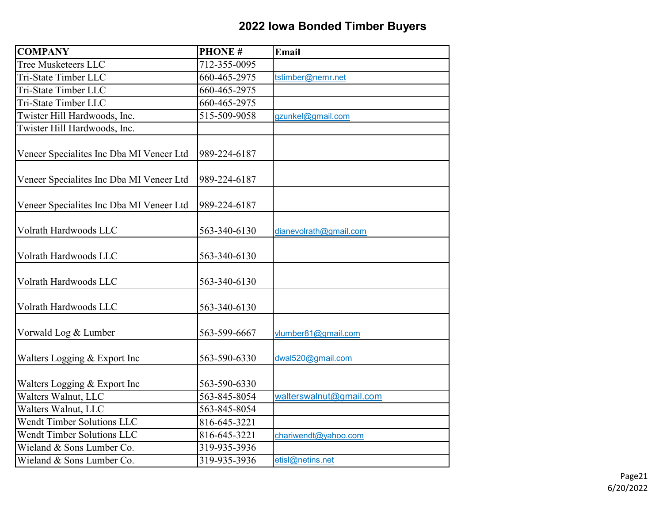| <b>COMPANY</b>                           | <b>PHONE#</b> | Email                   |
|------------------------------------------|---------------|-------------------------|
| Tree Musketeers LLC                      | 712-355-0095  |                         |
| Tri-State Timber LLC                     | 660-465-2975  | tstimber@nemr.net       |
| Tri-State Timber LLC                     | 660-465-2975  |                         |
| Tri-State Timber LLC                     | 660-465-2975  |                         |
| Twister Hill Hardwoods, Inc.             | 515-509-9058  | gzunkel@gmail.com       |
| Twister Hill Hardwoods, Inc.             |               |                         |
| Veneer Specialites Inc Dba MI Veneer Ltd | 989-224-6187  |                         |
| Veneer Specialites Inc Dba MI Veneer Ltd | 989-224-6187  |                         |
| Veneer Specialites Inc Dba MI Veneer Ltd | 989-224-6187  |                         |
| Volrath Hardwoods LLC                    | 563-340-6130  | dianevolrath@gmail.com  |
| Volrath Hardwoods LLC                    | 563-340-6130  |                         |
| Volrath Hardwoods LLC                    | 563-340-6130  |                         |
| Volrath Hardwoods LLC                    | 563-340-6130  |                         |
| Vorwald Log & Lumber                     | 563-599-6667  | vlumber81@gmail.com     |
| Walters Logging & Export Inc             | 563-590-6330  | dwal520@gmail.com       |
| Walters Logging & Export Inc             | 563-590-6330  |                         |
| Walters Walnut, LLC                      | 563-845-8054  | walterswalnut@gmail.com |
| Walters Walnut, LLC                      | 563-845-8054  |                         |
| <b>Wendt Timber Solutions LLC</b>        | 816-645-3221  |                         |
| <b>Wendt Timber Solutions LLC</b>        | 816-645-3221  | chariwendt@yahoo.com    |
| Wieland & Sons Lumber Co.                | 319-935-3936  |                         |
| Wieland & Sons Lumber Co.                | 319-935-3936  | etisl@netins.net        |